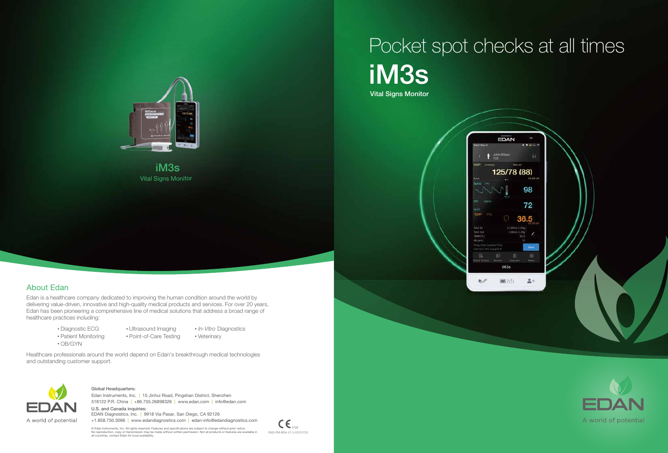## iM3s Vital Signs Monitor Pocket spot checks at all times



 $\mathsf{CE}_{\mathrm{one}}$ ENG-PM-iM3s-V1.3-20210723





Vital Signs Monitor iM3s

Edan is a healthcare company dedicated to improving the human condition around the world by delivering value-driven, innovative and high-quality medical products and services. For over 20 years, Edan has been pioneering a comprehensive line of medical solutions that address a broad range of healthcare practices including:

> Diagnostic ECG • Patient Monitoring

- Ultrasound Imaging Point-of-Care Testing
- In-Vitro Diagnostics
	- Veterinary

Healthcare professionals around the world depend on Edan's breakthrough medical technologies and outstanding customer support.



518122 P.R. China | +86.755.26898326 | www.edan.com | info@edan.com Edan Instruments, Inc. | 15 Jinhui Road, Pingshan District, Shenzhen

OB/GYN

## About Edan

#### Global Headquarters:

U.S. and Canada inquiries: EDAN Diagnostics, Inc. | 9918 Via Pasar, San Diego, CA 92126 +1.858.750.3066 | www.edandiagnostics.com | edan-info@edandiagnostics.com

© Edan Instruments, Inc. All rights reserved. Features and specifications are subject to change without prior notice.<br>No reproduction, copy or transmission may be made without written permission. Not all products or featur